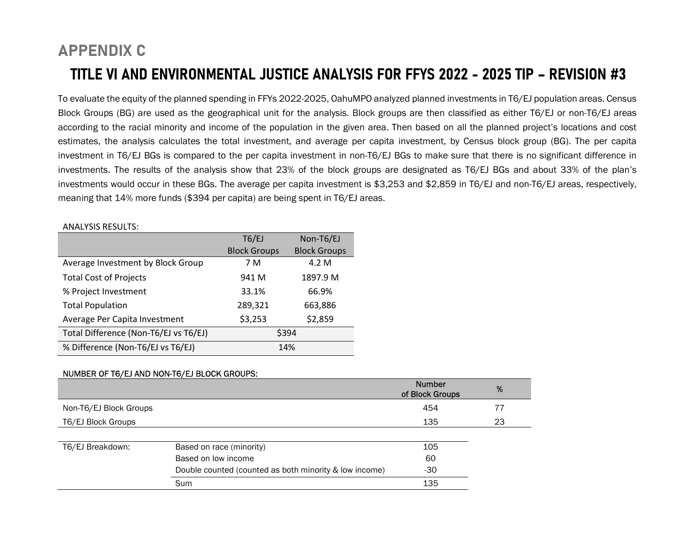## APPENDIX C TITLE VI AND ENVIRONMENTAL JUSTICE ANALYSIS FOR FFYS 2022 - 2025 TIP – REVISION #3

To evaluate the equity of the planned spending in FFYs 2022-2025, OahuMPO analyzed planned investments in T6/EJ population areas. Census Block Groups (BG) are used as the geographical unit for the analysis. Block groups are then classified as either T6/EJ or non-T6/EJ areas according to the racial minority and income of the population in the given area. Then based on all the planned project's locations and cost estimates, the analysis calculates the total investment, and average per capita investment, by Census block group (BG). The per capita investment in T6/EJ BGs is compared to the per capita investment in non-T6/EJ BGs to make sure that there is no significant difference in investments. The results of the analysis show that 23% of the block groups are designated as T6/EJ BGs and about 33% of the plan's investments would occur in these BGs. The average per capita investment is \$3,253 and \$2,859 in T6/EJ and non-T6/EJ areas, respectively, meaning that 14% more funds (\$394 per capita) are being spent in T6/EJ areas.

## ANALYSIS RESULTS:

|                                       | T6/EJ               | Non-T6/EJ           |
|---------------------------------------|---------------------|---------------------|
|                                       | <b>Block Groups</b> | <b>Block Groups</b> |
| Average Investment by Block Group     | 7 M                 | 4.2 M               |
| <b>Total Cost of Projects</b>         | 941 M               | 1897.9 M            |
| % Project Investment                  | 33.1%               | 66.9%               |
| <b>Total Population</b>               | 289,321             | 663,886             |
| Average Per Capita Investment         | \$3,253             | \$2,859             |
| Total Difference (Non-T6/EJ vs T6/EJ) | \$394               |                     |
| % Difference (Non-T6/EJ vs T6/EJ)     | 14%                 |                     |

## NUMBER OF T6/EJ AND NON-T6/EJ BLOCK GROUPS:

|                        |                                                        | <b>Number</b><br>of Block Groups | %  |
|------------------------|--------------------------------------------------------|----------------------------------|----|
| Non-T6/EJ Block Groups |                                                        | 454                              | 77 |
| T6/EJ Block Groups     |                                                        | 135                              | 23 |
|                        |                                                        |                                  |    |
| T6/EJ Breakdown:       | Based on race (minority)                               | 105                              |    |
|                        | Based on low income                                    | 60                               |    |
|                        | Double counted (counted as both minority & low income) | $-30$                            |    |
|                        | Sum                                                    | 135                              |    |